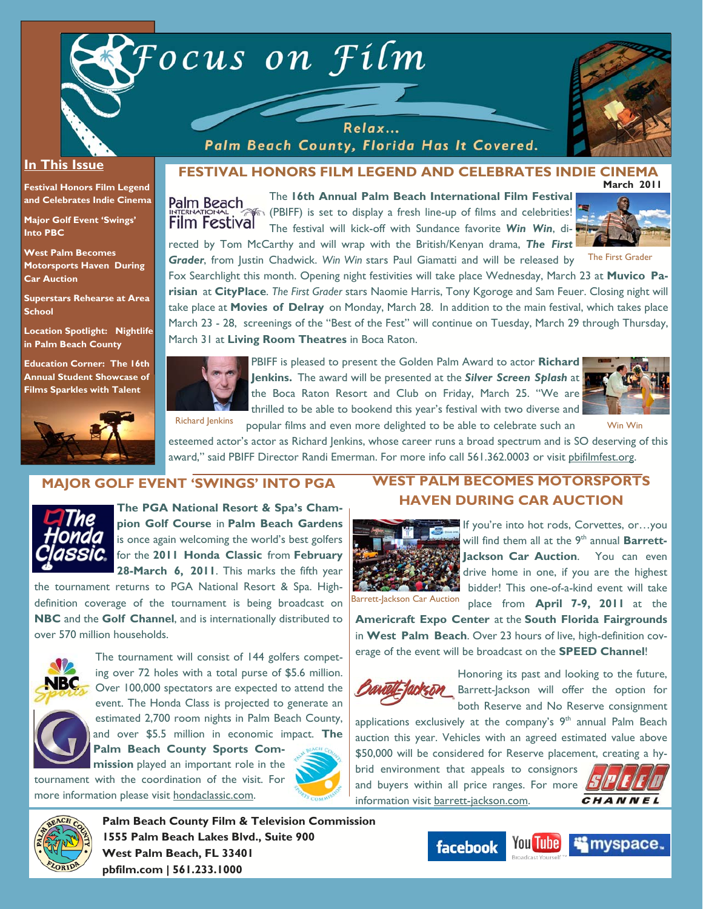



#### **In This Issue**

**Festival Honors Film Legend and Celebrates Indie Cinema** 

**Major Golf Event 'Swings' Into PBC** 

**West Palm Becomes Motorsports Haven During Car Auction** 

**Superstars Rehearse at Area School** 

**Location Spotlight: Nightlife in Palm Beach County** 

**Education Corner: The 16th Annual Student Showcase of Films Sparkles with Talent**



#### **March 2011 FESTIVAL HONORS FILM LEGEND AND CELEBRATES INDIE CINEMA**

The **16th Annual Palm Beach International Film Festival** Palm Beach (PBIFF) is set to display a fresh line-up of films and celebrities! **Film Festival** The festival will kick-off with Sundance favorite *Win Win*, directed by Tom McCarthy and will wrap with the British/Kenyan drama, *The First Grader*, from Justin Chadwick. *Win Win* stars Paul Giamatti and will be released by

Relax... Palm Beach County, Florida Has It Covered.



The First Grader

Fox Searchlight this month. Opening night festivities will take place Wednesday, March 23 at **Muvico Parisian** at **CityPlace**. *The First Grader* stars Naomie Harris, Tony Kgoroge and Sam Feuer. Closing night will take place at **Movies of Delray** on Monday, March 28. In addition to the main festival, which takes place March 23 - 28, screenings of the "Best of the Fest" will continue on Tuesday, March 29 through Thursday, March 31 at **Living Room Theatres** in Boca Raton.



PBIFF is pleased to present the Golden Palm Award to actor **Richard Jenkins.** The award will be presented at the *Silver Screen Splash* at the Boca Raton Resort and Club on Friday, March 25. "We are thrilled to be able to bookend this year's festival with two diverse and Richard Jenkins popular films and even more delighted to be able to celebrate such an Win Win



esteemed actor's actor as Richard Jenkins, whose career runs a broad spectrum and is SO deserving of this award," said PBIFF Director Randi Emerman. For more info call 561.362.0003 or visit pbifilmfest.org.

# **MAJOR GOLF EVENT 'SWINGS' INTO PGA**



**The PGA National Resort & Spa's Champion Golf Course** in **Palm Beach Gardens**  is once again welcoming the world's best golfers for the **2011 Honda Classic** from **February 28-March 6, 2011**. This marks the fifth year

the tournament returns to PGA National Resort & Spa. Highdefinition coverage of the tournament is being broadcast on **NBC** and the **Golf Channel**, and is internationally distributed to over 570 million households.



The tournament will consist of 144 golfers competing over 72 holes with a total purse of \$5.6 million. Over 100,000 spectators are expected to attend the event. The Honda Class is projected to generate an



estimated 2,700 room nights in Palm Beach County, and over \$5.5 million in economic impact. **The Palm Beach County Sports Com-**

**mission** played an important role in the tournament with the coordination of the visit. For more information please visit hondaclassic.com.



# **WEST PALM BECOMES MOTORSPORTS HAVEN DURING CAR AUCTION**



If you're into hot rods, Corvettes, or…you will find them all at the 9<sup>th</sup> annual **Barrett-**Jackson Car Auction. You can even drive home in one, if you are the highest bidder! This one-of-a-kind event will take place from **April 7-9, 2011** at the

Barrett-Jackson Car Auction

**Americraft Expo Center** at the **South Florida Fairgrounds**  in **West Palm Beach**. Over 23 hours of live, high-definition coverage of the event will be broadcast on the **SPEED Channel**!



Honoring its past and looking to the future, **Barrett-Jackson will offer the option for** both Reserve and No Reserve consignment

applications exclusively at the company's  $9<sup>th</sup>$  annual Palm Beach auction this year. Vehicles with an agreed estimated value above \$50,000 will be considered for Reserve placement, creating a hybrid environment that appeals to consignors

and buyers within all price ranges. For more  $\Box$ information visit barrett-jackson.com.





**Palm Beach County Film & Television Commission 1555 Palm Beach Lakes Blvd., Suite 900 West Palm Beach, FL 33401 pbfilm.com | 561.233.1000** 

facebook

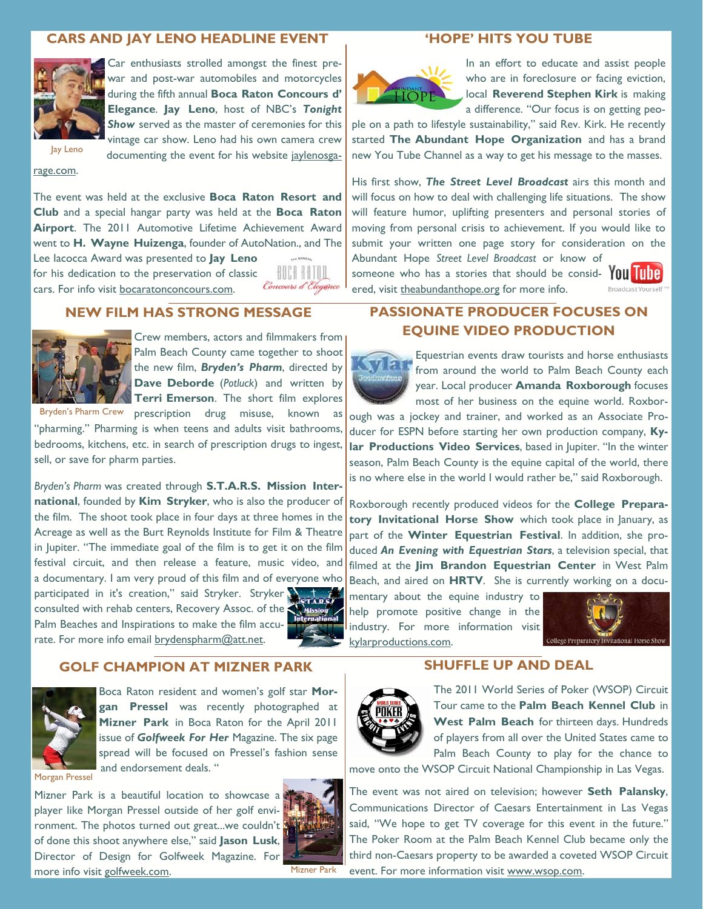### **CARS AND JAY LENO HEADLINE EVENT**



Car enthusiasts strolled amongst the finest prewar and post-war automobiles and motorcycles during the fifth annual **Boca Raton Concours d' Elegance**. **Jay Leno**, host of NBC's *Tonight*  **Show** served as the master of ceremonies for this vintage car show. Leno had his own camera crew

documenting the event for his website jaylenosga-

Jay Leno

rage.com.

The event was held at the exclusive **Boca Raton Resort and Club** and a special hangar party was held at the **Boca Raton**  Airport. The 2011 Automotive Lifetime Achievement Award went to **H. Wayne Huizenga**, founder of AutoNation., and The

Lee Iacocca Award was presented to **Jay Leno**  for his dedication to the preservation of classic cars. For info visit bocaratonconcours.com.



### **NEW FILM HAS STRONG MESSAGE**



Crew members, actors and filmmakers from Palm Beach County came together to shoot the new film, *Bryden's Pharm*, directed by **Dave Deborde** (*Potluck*) and written by **Terri Emerson**. The short film explores

Bryden's Pharm Crew prescription drug misuse, known as "pharming." Pharming is when teens and adults visit bathrooms, bedrooms, kitchens, etc. in search of prescription drugs to ingest, sell, or save for pharm parties.

*Bryden's Pharm* was created through **S.T.A.R.S. Mission International**, founded by **Kim Stryker**, who is also the producer of the film. The shoot took place in four days at three homes in the Acreage as well as the Burt Reynolds Institute for Film & Theatre in Jupiter. "The immediate goal of the film is to get it on the film festival circuit, and then release a feature, music video, and a documentary. I am very proud of this film and of everyone who participated in it's creation," said Stryker. Stryker consulted with rehab centers, Recovery Assoc. of the Palm Beaches and Inspirations to make the film accurate. For more info email brydenspharm@att.net.





Boca Raton resident and women's golf star **Morgan Pressel** was recently photographed at **Mizner Park** in Boca Raton for the April 2011 issue of *Golfweek For Her* Magazine. The six page spread will be focused on Pressel's fashion sense and endorsement deals. "

Morgan Pressel

Mizner Park is a beautiful location to showcase a player like Morgan Pressel outside of her golf environment. The photos turned out great...we couldn't of done this shoot anywhere else," said **Jason Lusk**, Director of Design for Golfweek Magazine. For more info visit golfweek.com.



Mizner Park

### **'HOPE' HITS YOU TUBE**



In an effort to educate and assist people who are in foreclosure or facing eviction, local **Reverend Stephen Kirk** is making a difference. "Our focus is on getting peo-

ple on a path to lifestyle sustainability," said Rev. Kirk. He recently started **The Abundant Hope Organization** and has a brand new You Tube Channel as a way to get his message to the masses.

His first show, *The Street Level Broadcast* airs this month and will focus on how to deal with challenging life situations. The show will feature humor, uplifting presenters and personal stories of moving from personal crisis to achievement. If you would like to submit your written one page story for consideration on the Abundant Hope *Street Level Broadcast* or know of

someone who has a stories that should be consid-  $\text{Y0U}$   $\Box$ ered, visit theabundanthope.org for more info.



# **PASSIONATE PRODUCER FOCUSES ON EQUINE VIDEO PRODUCTION**



Equestrian events draw tourists and horse enthusiasts from around the world to Palm Beach County each year. Local producer **Amanda Roxborough** focuses most of her business on the equine world. Roxbor-

ough was a jockey and trainer, and worked as an Associate Producer for ESPN before starting her own production company, **Kylar Productions Video Services**, based in Jupiter. "In the winter season, Palm Beach County is the equine capital of the world, there is no where else in the world I would rather be," said Roxborough.

Roxborough recently produced videos for the **College Preparatory Invitational Horse Show** which took place in January, as part of the **Winter Equestrian Festival**. In addition, she produced *An Evening with Equestrian Stars*, a television special, that filmed at the **Jim Brandon Equestrian Center** in West Palm Beach, and aired on **HRTV**. She is currently working on a docu-

mentary about the equine industry to help promote positive change in the industry. For more information visit kylarproductions.com.



#### **SHUFFLE UP AND DEAL**



The 2011 World Series of Poker (WSOP) Circuit Tour came to the **Palm Beach Kennel Club** in **West Palm Beach** for thirteen days. Hundreds of players from all over the United States came to Palm Beach County to play for the chance to

move onto the WSOP Circuit National Championship in Las Vegas.

The event was not aired on television; however **Seth Palansky**, Communications Director of Caesars Entertainment in Las Vegas said, "We hope to get TV coverage for this event in the future." The Poker Room at the Palm Beach Kennel Club became only the third non-Caesars property to be awarded a coveted WSOP Circuit event. For more information visit www.wsop.com.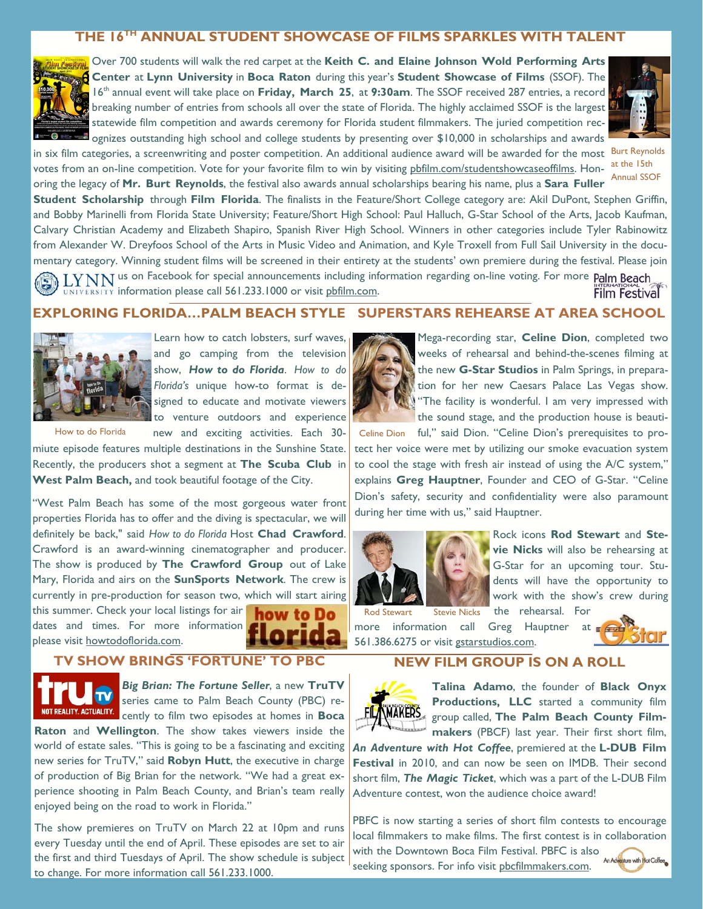# **THE 16TH ANNUAL STUDENT SHOWCASE OF FILMS SPARKLES WITH TALENT**



Over 700 students will walk the red carpet at the **Keith C. and Elaine Johnson Wold Performing Arts Center at Lynn University in Boca Raton** during this year's **Student Showcase of Films** (SSOF). The 16th annual event will take place on **Friday, March 25**, at **9:30am**. The SSOF received 287 entries, a record breaking number of entries from schools all over the state of Florida. The highly acclaimed SSOF is the largest statewide film competition and awards ceremony for Florida student filmmakers. The juried competition recognizes outstanding high school and college students by presenting over \$10,000 in scholarships and awards

in six film categories, a screenwriting and poster competition. An additional audience award will be awarded for the most Burt Reynolds votes from an on-line competition. Vote for your favorite film to win by visiting <u>pbfilm.com/studentshowcaseoffilms</u>. Hon-at the 15th oring the legacy of **Mr. Burt Reynolds**, the festival also awards annual scholarships bearing his name, plus a **Sara Fuller** 



Annual SSOF

**Student Scholarship** through **Film Florida**. The finalists in the Feature/Short College category are: Akil DuPont, Stephen Griffin, and Bobby Marinelli from Florida State University; Feature/Short High School: Paul Halluch, G-Star School of the Arts, Jacob Kaufman, Calvary Christian Academy and Elizabeth Shapiro, Spanish River High School. Winners in other categories include Tyler Rabinowitz from Alexander W. Dreyfoos School of the Arts in Music Video and Animation, and Kyle Troxell from Full Sail University in the documentary category. Winning student films will be screened in their entirety at the students' own premiere during the festival. Please join I YNN us on Facebook for special announcements including information regarding on-line voting. For more Palm Beach UNIVERSITY information please call 561.233.1000 or visit phfilm.com. **Film Festival** 

# **EXPLORING FLORIDA…PALM BEACH STYLE SUPERSTARS REHEARSE AT AREA SCHOOL**



Learn how to catch lobsters, surf waves, and go camping from the television show, *How to do Florida*. *How to do Florida's* unique how-to format is designed to educate and motivate viewers to venture outdoors and experience new and exciting activities. Each 30-

How to do Florida

miute episode features multiple destinations in the Sunshine State. Recently, the producers shot a segment at **The Scuba Club** in **West Palm Beach,** and took beautiful footage of the City.

"West Palm Beach has some of the most gorgeous water front properties Florida has to offer and the diving is spectacular, we will definitely be back," said *How to do Florida* Host **Chad Crawford**. Crawford is an award-winning cinematographer and producer. The show is produced by **The Crawford Group** out of Lake Mary, Florida and airs on the **SunSports Network**. The crew is currently in pre-production for season two, which will start airing

this summer. Check your local listings for air dates and times. For more information please visit howtodoflorida.com.

how to Do



Mega-recording star, **Celine Dion**, completed two weeks of rehearsal and behind-the-scenes filming at the new **G-Star Studios** in Palm Springs, in preparation for her new Caesars Palace Las Vegas show. "The facility is wonderful. I am very impressed with the sound stage, and the production house is beauti-

Celine Dion ful," said Dion. "Celine Dion's prerequisites to protect her voice were met by utilizing our smoke evacuation system to cool the stage with fresh air instead of using the A/C system," explains **Greg Hauptner**, Founder and CEO of G-Star. "Celine Dion's safety, security and confidentiality were also paramount during her time with us," said Hauptner.





more information call Greg Hauptner at 561.386.6275 or visit gstarstudios.com.



**TV SHOW BRINGS 'FORTUNE' TO PBC** 



*Big Brian: The Fortune Seller*, a new **TruTV**  series came to Palm Beach County (PBC) recently to film two episodes at homes in **Boca** 

**Raton** and **Wellington**. The show takes viewers inside the world of estate sales. "This is going to be a fascinating and exciting new series for TruTV," said **Robyn Hutt**, the executive in charge of production of Big Brian for the network. "We had a great experience shooting in Palm Beach County, and Brian's team really enjoyed being on the road to work in Florida."

The show premieres on TruTV on March 22 at 10pm and runs every Tuesday until the end of April. These episodes are set to air the first and third Tuesdays of April. The show schedule is subject to change. For more information call 561.233.1000.

# **NEW FILM GROUP IS ON A ROLL**



**Talina Adamo**, the founder of **Black Onyx Productions, LLC** started a community film group called, **The Palm Beach County Filmmakers** (PBCF) last year. Their first short film,

*An Adventure with Hot Coffee*, premiered at the **L-DUB Film Festival** in 2010, and can now be seen on IMDB. Their second short film, *The Magic Ticket*, which was a part of the L-DUB Film Adventure contest, won the audience choice award!

PBFC is now starting a series of short film contests to encourage local filmmakers to make films. The first contest is in collaboration with the Downtown Boca Film Festival. PBFC is also seeking sponsors. For info visit pbcfilmmakers.com.